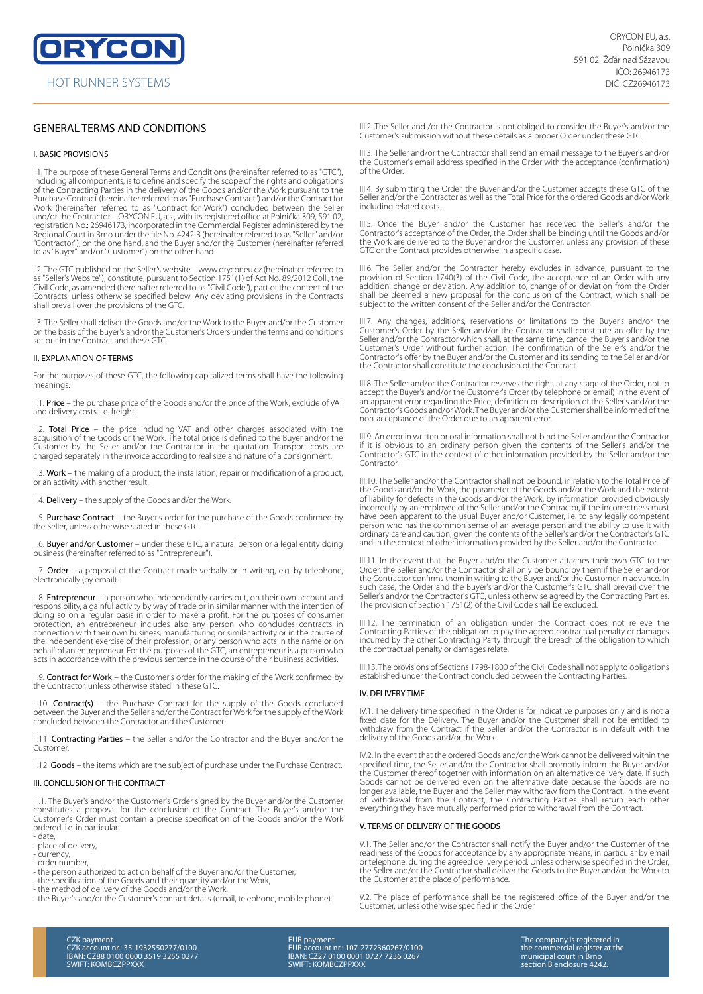# GENERAL TERMS AND CONDITIONS

### I. BASIC PROVISIONS

I.1. The purpose of these General Terms and Conditions (hereinafter referred to as "GTC"), including all components, is to define and specify the scope of the rights and obligations<br>of the Contracting Parties in the delivery of the Goods and/or the Work pursuant to the<br>Purchase Contract (hereinafter referred to Work (hereinafter referred to as "Contract for Work") concluded between the Seller<br>and/or the Contractor – ORYCON EU, a.s., with its registered office at Polnička 309, 591 02,<br>registration No.: 26946173, incorporated in th Regional Court in Brno under the file No. 4242 B (hereinafter referred to as "Seller" and/or "Contractor"), on the one hand, and the Buyer and/or the Customer (hereinafter referred to as "Buyer" and/or "Customer") on the other hand.

I.2. The GTC published on the Seller's website – <u>www.oryconeu.cz</u> (hereinafter referred to<br>as "Seller's Website"), constitute, pursuant to Section 1751(1) of Act No. 89/2012 Coll., the<br>Civil Code, as amended (hereinafter shall prevail over the provisions of the GTC.

I.3. The Seller shall deliver the Goods and/or the Work to the Buyer and/or the Customer on the basis of the Buyer's and/or the Customer's Orders under the terms and conditions set out in the Contract and these GTC.

#### II. EXPLANATION OF TERMS

For the purposes of these GTC, the following capitalized terms shall have the following meanings:

II.1. Price – the purchase price of the Goods and/or the price of the Work, exclude of VAT and delivery costs, i.e. freight.

II.2. **Total Price** – the price including VAT and other charges associated with the<br>acquisition of the Goods or the Work. The total price is defined to the Buyer and/or the Customer by the Seller and/or the Contractor in the quotation. Transport costs are charged separately in the invoice according to real size and nature of a consignment.

II.3. Work – the making of a product, the installation, repair or modification of a product, or an activity with another result.

II.4. Delivery – the supply of the Goods and/or the Work.

II.5. Purchase Contract – the Buyer's order for the purchase of the Goods confirmed by the Seller, unless otherwise stated in these GTC.

II.6. Buyer and/or Customer – under these GTC, a natural person or a legal entity doing business (hereinafter referred to as "Entrepreneur").

II.7. Order – a proposal of the Contract made verbally or in writing, e.g. by telephone, m. **cree:** c proposal

II.8. Entrepreneur – a person who independently carries out, on their own account and responsibility, a gainful activity by way of trade or in similar manner with the intention of doing so on a regular basis in order to make a profit. For the purposes of consumer<br>protection, an entrepreneur includes also any person who concludes contracts in<br>connection with their own business, manufacturing or simil the independent exercise of their profession, or any person who acts in the name or on behalf of an entrepreneur. For the purposes of the GTC, an entrepreneur is a person who acts in accordance with the previous sentence in the course of their business activities.

II.9. Contract for Work – the Customer's order for the making of the Work confirmed by the Contractor, unless otherwise stated in these GTC.

II.10. Contract(s) – the Purchase Contract for the supply of the Goods concluded<br>between the Buyer and the Seller and/or the Contract for Work for the supply of the Work concluded between the Contractor and the Customer.

II.11. Contracting Parties – the Seller and/or the Contractor and the Buyer and/or the Customer.

II.12. Goods – the items which are the subject of purchase under the Purchase Contract.

### III. CONCLUSION OF THE CONTRACT

III.1. The Buyer's and/or the Customer's Order signed by the Buyer and/or the Customer<br>constitutes a proposal for the conclusion of the Contract. The Buyer's and/or the<br>Customer's Order must contain a precise s ordered, i.e. in particular:

- date,
- place of delivery,
- currency, - order number,
- the person authorized to act on behalf of the Buyer and/or the Customer,
- 
- 
- the specification of the Goods and their quantity and/or the Work, the method of delivery of the Goods and/or the Work, the Buyer's and/or the Customer's contact details (email, telephone, mobile phone).

III.2. The Seller and /or the Contractor is not obliged to consider the Buyer's and/or the Customer's submission without these details as a proper Order under these GTC.

III.3. The Seller and/or the Contractor shall send an email message to the Buyer's and/or the Customer's email address specified in the Order with the acceptance (confirmation) of the Order.

III.4. By submitting the Order, the Buyer and/or the Customer accepts these GTC of the Seller and/or the Contractor as well as the Total Price for the ordered Goods and/or Work including related costs.

III.5. Once the Buyer and/or the Customer has received the Seller's and/or the<br>Contractor's acceptance of the Order, the Order shall be binding until the Goods and/or<br>the Work are delivered to the Buyer and/or the Customer GTC or the Contract provides otherwise in a specific case.

III.6. The Seller and/or the Contractor hereby excludes in advance, pursuant to the provision of Section 1740(3) of the Civil Code, the acceptance of an Order with any addition, change or deviation. Any addition to, change of or deviation from the Order shall be deemed a new proposal for the conclusion of the Contract, which shall be subject to the written consent of the Seller and/or the Contractor.

III.7. Any changes, additions, reservations or limitations to the Buyer's and/or the Customer's Order by the Seller and/or the Contractor shall constitute an offer by the Seller and/or the Contractor which shall, at the same time, cancel the Buyer's and/or the Customer's Order without further action. The confirmation of the Seller's and/or the Contractor's offer by the Buyer and/or the Customer and its sending to the Seller and/or the Contractor shall constitute the conclusion of the Contract.

III.8. The Seller and/or the Contractor reserves the right, at any stage of the Order, not to accept the Buyer's and/or the Customer's Order (by telephone or email) in the event of an apparent error regarding the Price, definition or description of the Seller's and/or the Contractor's Goods and/or Work. The Buyer and/or the Customer shall be informed of the non-acceptance of the Order due to an apparent error.

III.9. An error in written or oral information shall not bind the Seller and/or the Contractor if it is obvious to an ordinary person given the contents of the Seller's and/or the Contractor's GTC in the context of other information provided by the Seller and/or the **Contractor** 

III.10. The Seller and/or the Contractor shall not be bound, in relation to the Total Price of the Goods and/or the Work, the parameter of the Goods and/or the Work and the extent of liability for defects in the Goods and/or the Work, by information provided obviously incorrectly by an employee of the Seller and/or the Contractor, if the incorrectness must have been apparent to the usual Buyer and/or Customer, i.e. to any legally competent person who has the common sense of an average person and the ability to use it with ordinary care and caution, given the contents of the Seller's and/or the Contractor's GTC and in the context of other information provided by the Seller and/or the Contractor.

III.11. In the event that the Buyer and/or the Customer attaches their own GTC to the Order, the Seller and/or the Contractor shall only be bound by them if the Seller and/or the Contractor confirms them in writing to the Buyer and/or the Customer in advance. In such case, the Order and the Buyer's and/or the Customer's GTC shall prevail over the Seller's and/or the Contractor's GTC, unless otherwise agreed by the Contracting Parties. The provision of Section 1751(2) of the Civil Code shall be excluded.

III.12. The termination of an obligation under the Contract does not relieve the Contracting Parties of the obligation to pay the agreed contractual penalty or damages incurred by the other Contracting Party through the breach of the obligation to which the contractual penalty or damages relate.

III.13. The provisions of Sections 1798-1800 of the Civil Code shall not apply to obligations established under the Contract concluded between the Contracting Parties.

### IV. DELIVERY TIME

IV.1. The delivery time specified in the Order is for indicative purposes only and is not a<br>fixed date for the Delivery. The Buyer and/or the Customer shall not be entitled to<br>withdraw from the Contract if the Seller and/o delivery of the Goods and/or the Work.

IV.2. In the event that the ordered Goods and/or the Work cannot be delivered within the specified time, the Seller and/or the Contractor shall promptly inform the Buyer and/or<br>the Customer thereof together with information on an alternative delivery date. If such<br>Goods cannot be delivered even on the alternat longer available, the Buyer and the Seller may withdraw from the Contract. In the event<br>of withdrawal from the Contract, the Contracting Parties shall return each other<br>everything they have mutually performed pr

### V. TERMS OF DELIVERY OF THE GOODS

V.1. The Seller and/or the Contractor shall notify the Buyer and/or the Customer of the readiness of the Goods for acceptance by any appropriate means, in particular by email<br>or telephone, during the agreed delivery period. Unless otherwise specified in the Order,<br>the Seller and/or the Contractor shall delive the Customer at the place of performance.

V.2. The place of performance shall be the registered office of the Buyer and/or the Customer, unless otherwise specified in the Order.

EUR payment EUR account nr.: 107-2772360267/0100 IBAN: CZ27 0100 0001 0727 7236 0267 SWIFT: KOMBCZPPXXX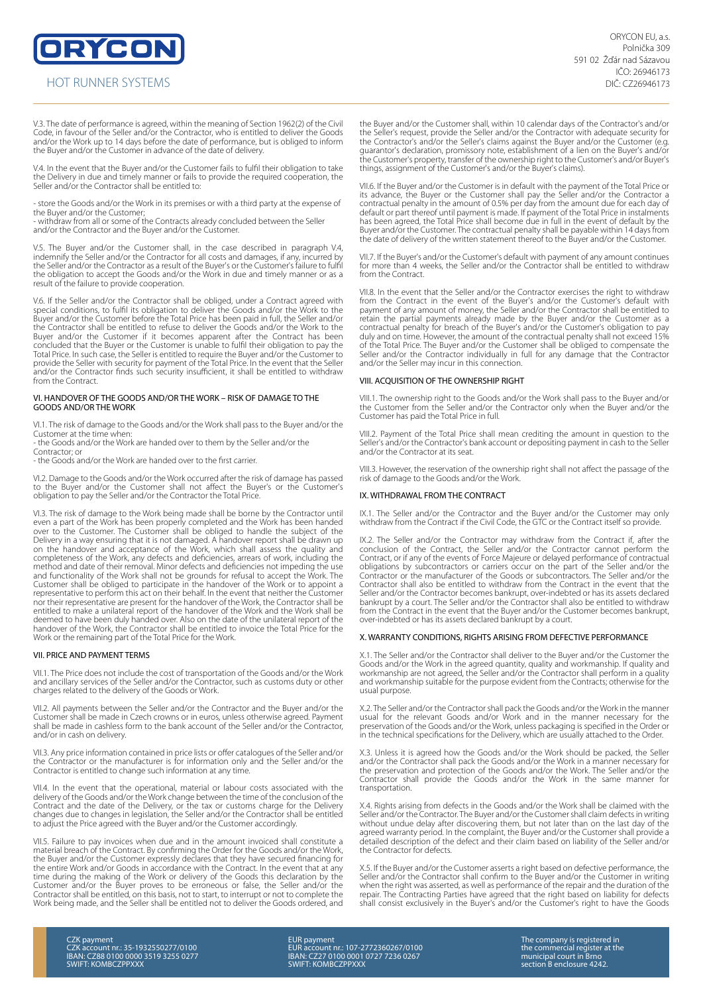ORYCON

## HOT RUNNER SYSTEMS

V.3. The date of performance is agreed, within the meaning of Section 1962(2) of the Civil Code, in favour of the Seller and/or the Contractor, who is entitled to deliver the Goods and/or the Work up to 14 days before the date of performance, but is obliged to inform the Buyer and/or the Customer in advance of the date of delivery.

V.4. In the event that the Buyer and/or the Customer fails to fulfil their obligation to take the Delivery in due and timely manner or fails to provide the required cooperation, the Seller and/or the Contractor shall be entitled to:

- store the Goods and/or the Work in its premises or with a third party at the expense of the Buyer and/or the Customer; - withdraw from all or some of the Contracts already concluded between the Seller

and/or the Contractor and the Buyer and/or the Customer.

V.5. The Buyer and/or the Customer shall, in the case described in paragraph V.4, indemnify the Seller and/or the Contractor for all costs and damages, if any, incurred by the Seller and/or the Contractor as a result of the Buyer's or the Customer's failure to fulfil the obligation to accept the Goods and/or the Work in due and timely manner or as a result of the failure to provide cooperation.

V.6. If the Seller and/or the Contractor shall be obliged, under a Contract agreed with special conditions, to fulfil its obligation to deliver the Goods and/or the Work to the<br>Buyer and/or the Customer before the Total Price has been paid in full, the Seller and/or<br>the Contractor shall be entitled to refuse Buyer and/or the Customer if it becomes apparent after the Contract has been concluded that the Buyer or the Customer is unable to fulfil their obligation to pay the Total Price. In such case, the Seller is entitled to require the Buyer and/or the Customer to provide the Seller with security for payment of the Total Price. In the event that the Seller and/or the Contractor finds such security insufficient, it shall be entitled to withdraw from the Contract.

### VI. HANDOVER OF THE GOODS AND/OR THE WORK – RISK OF DAMAGE TO THE GOODS AND/OR THE WORK

VI.1. The risk of damage to the Goods and/or the Work shall pass to the Buyer and/or the Customer at the time when:

- the Goods and/or the Work are handed over to them by the Seller and/or the Contractor; or

- the Goods and/or the Work are handed over to the first carrier.

VI.2. Damage to the Goods and/or the Work occurred after the risk of damage has passed to the Buyer and/or the Customer shall not affect the Buyer's or the Customer's obligation to pay the Seller and/or the Contractor the Total Price.

VI.3. The risk of damage to the Work being made shall be borne by the Contractor until even a part of the Work has been properly completed and the Work has been handed<br>over to the Customer. The Customer shall be obliged to handle the subject of the<br>Delivery in a way ensuring that it is not damaged. A handove on the handover and acceptance of the Work, which shall assess the quality and<br>completeness of the Work, any defects and deficiencies, arrears of work, including the<br>method and date of their removal. Minor defects and defi and functionality of the Work shall not be grounds for refusal to accept the Work. The<br>Customer shall be obliged to participate in the handover of the Work or to appoint a<br>representative to perform this act on their behalf nor their representative are present for the handover of the Work, the Contractor shall be entitled to make a unilateral report of the handover of the Work and the Work shall be deemed to have been duly handed over. Also on the date of the unilateral report of the handover of the Work, the Contractor shall be entitled to invoice the Total Price for the Work or the remaining part of the Total Price for the Work.

### VII. PRICE AND PAYMENT TERMS

VII.1. The Price does not include the cost of transportation of the Goods and/or the Work and ancillary services of the Seller and/or the Contractor, such as customs duty or other charges related to the delivery of the Goods or Work.

VII.2. All payments between the Seller and/or the Contractor and the Buyer and/or the Customer shall be made in Czech crowns or in euros, unless otherwise agreed. Payment shall be made in cashless form to the bank account of the Seller and/or the Contractor, and/or in cash on delivery.

VII.3. Any price information contained in price lists or offer catalogues of the Seller and/or the Contractor or the manufacturer is for information only and the Seller and/or the Contractor is entitled to change such information at any time.

VII.4. In the event that the operational, material or labour costs associated with the delivery of the Goods and/or the Work change between the time of the conclusion of the<br>Contract and the date of the Delivery, or the tax or customs charge for the Delivery<br>changes due to changes in legislation, the Seller to adjust the Price agreed with the Buyer and/or the Customer accordingly.

VII.5. Failure to pay invoices when due and in the amount invoiced shall constitute a material breach of the Contract. By confirming the Order for the Goods and/or the Work,<br>the Buyer and/or the Customer expressly declares that they have secured financing for<br>the entire Work and/or Goods in accordance with time during the making of the Work or delivery of the Goods this declaration by the<br>Customer and/or the Buyer proves to be erroneous or false, the Seller and/or the<br>Contractor shall be entitled, on this basis, not to start Work being made, and the Seller shall be entitled not to deliver the Goods ordered, and the Buyer and/or the Customer shall, within 10 calendar days of the Contractor's and/or the Seller's request, provide the Seller and/or the Contractor with adequate security for the Contractor's and/or the Seller's claims against the Buyer and/or the Customer (e.g. guarantor's declaration, promissory note, establishment of a lien on the Buyer's and/or the Customer's property, transfer of the ownership right to the Customer's and/or Buyer's things, assignment of the Customer's and/or the Buyer's claims).

VII.6. If the Buyer and/or the Customer is in default with the payment of the Total Price or its advance, the Buyer or the Customer shall pay the Seller and/or the Contractor a contractual penalty in the amount of 0.5% per day from the amount due for each day of<br>default or part thereof until payment is made. If payment of the Total Price in instalments<br>has been agreed, the Total Price shall becom Buyer and/or the Customer. The contractual penalty shall be payable within 14 days from the date of delivery of the written statement thereof to the Buyer and/or the Customer.

VII.7. If the Buyer's and/or the Customer's default with payment of any amount continues for more than 4 weeks, the Seller and/or the Contractor shall be entitled to withdraw from the Contract.

VII.8. In the event that the Seller and/or the Contractor exercises the right to withdraw from the Contract in the event of the Buyer's and/or the Customer's default with payment of any amount of money, the Seller and/or the Contractor shall be entitled to<br>retain the partial payments already made by the Buyer and/or the Customer as a<br>contractual penalty for breach of the Buyer's and/or the duly and on time. However, the amount of the contractual penalty shall not exceed 15%<br>of the Total Price. The Buyer and/or the Customer shall be obliged to compensate the<br>Seller and/or the Contractor individually in full f and/or the Seller may incur in this connection.

### VIII. ACQUISITION OF THE OWNERSHIP RIGHT

VIII.1. The ownership right to the Goods and/or the Work shall pass to the Buyer and/or the Customer from the Seller and/or the Contractor only when the Buyer and/or the Customer has paid the Total Price in full.

VIII.2. Payment of the Total Price shall mean crediting the amount in question to the Seller's and/or the Contractor's bank account or depositing payment in cash to the Seller and/or the Contractor at its seat.

VIII.3. However, the reservation of the ownership right shall not affect the passage of the risk of damage to the Goods and/or the Work.

### IX. WITHDRAWAL FROM THE CONTRACT

IX.1. The Seller and/or the Contractor and the Buyer and/or the Customer may only withdraw from the Contract if the Civil Code, the GTC or the Contract itself so provide.

IX.2. The Seller and/or the Contractor may withdraw from the Contract if, after the conclusion of the Contract, the Seller and/or the Contractor cannot perform the<br>Contract, or if any of the events of Force Majeure or delayed performance of contractual<br>obligations by subcontractors or carriers occur on th Contractor or the manufacturer of the Goods or subcontractors. The Seller and/or the Contractor shall also be entitled to withdraw from the Contract in the event that the Seller and/or the Contractor becomes bankrupt, over-indebted or has its assets declared bankrupt by a court. The Seller and/or the Contractor shall also be entitled to withdraw from the Contract in the event that the Buyer and/or the Customer becomes bankrupt, over-indebted or has its assets declared bankrupt by a court.

#### X. WARRANTY CONDITIONS, RIGHTS ARISING FROM DEFECTIVE PERFORMANCE

X.1. The Seller and/or the Contractor shall deliver to the Buyer and/or the Customer the Goods and/or the Work in the agreed quantity, quality and workmanship. If quality and workmanship are not agreed, the Seller and/or the Contractor shall perform in a quality and workmanship suitable for the purpose evident from the Contracts; otherwise for the usual purpose.

X.2. The Seller and/or the Contractor shall pack the Goods and/or the Work in the manner usual for the relevant Goods and/or Work and in the manner necessary for the preservation of the Goods and/or the Work, unless packaging is specified in the Order or in the technical specifications for the Delivery, which are usually attached to the Order.

X.3. Unless it is agreed how the Goods and/or the Work should be packed, the Seller and/or the Contractor shall pack the Goods and/or the Work in a manner necessary for the preservation and protection of the Goods and/or the Work. The Seller and/or the Contractor shall provide the Goods and/or the Work in the same manner for transportation.

X.4. Rights arising from defects in the Goods and/or the Work shall be claimed with the Seller and/or the Contractor. The Buyer and/or the Customer shall claim defects in writing without undue delay after discovering them, but not later than on the last day of the agreed warranty period. In the complaint, the Buyer and/or the Customer shall provide a detailed description of the defect and their claim based on liability of the Seller and/or the Contractor for defects.

X.5. If the Buyer and/or the Customer asserts a right based on defective performance, the Seller and/or the Contractor shall confirm to the Buyer and/or the Customer in writing when the right was asserted, as well as performance of the repair and the duration of the repair. The Contracting Parties have agreed that the right based on liability for defects shall consist exclusively in the Buyer's and/or the Customer's right to have the Goods

CZK payment CZK account nr.: 35-1932550277/0100 IBAN: CZ88 0100 0000 3519 3255 0277 SWIFT: KOMBCZPPXXX EUR payment EUR account nr.: 107-2772360267/0100 IBAN: CZ27 0100 0001 0727 7236 0267 SWIFT: KOMBCZPPXXX

The company is registered in the commercial register at the municipal court in Brno section B enclosure 4242.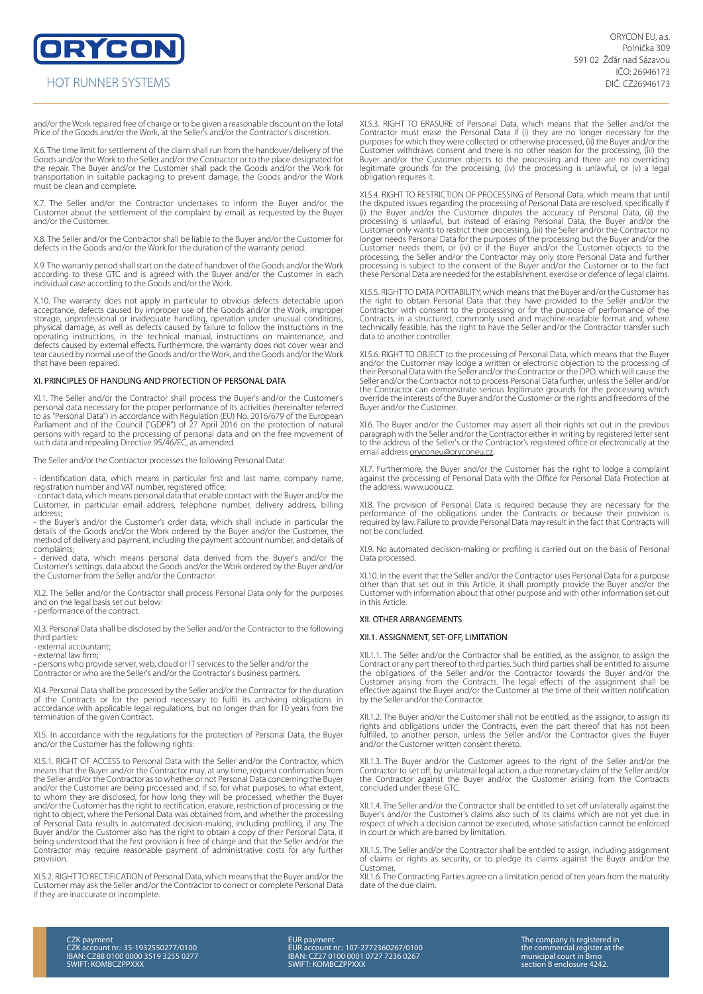ORYCON HOT RUNNER SYSTEMS

and/or the Work repaired free of charge or to be given a reasonable discount on the Total Price of the Goods and/or the Work, at the Seller's and/or the Contractor's discretion.

X.6. The time limit for settlement of the claim shall run from the handover/delivery of the Goods and/or the Work to the Seller and/or the Contractor or to the place designated for the repair. The Buyer and/or the Customer shall pack the Goods and/or the Work for transportation in suitable packaging to prevent damage; the Goods and/or the Work must be clean and complete.

X.7. The Seller and/or the Contractor undertakes to inform the Buyer and/or the Customer about the settlement of the complaint by email, as requested by the Buyer and/or the Customer.

X.8. The Seller and/or the Contractor shall be liable to the Buyer and/or the Customer for defects in the Goods and/or the Work for the duration of the warranty period.

X.9. The warranty period shall start on the date of handover of the Goods and/or the Work according to these GTC and is agreed with the Buyer and/or the Customer in each individual case according to the Goods and/or the Work.

X.10. The warranty does not apply in particular to obvious defects detectable upon acceptance, defects caused by improper use of the Goods and/or the Work, improper<br>storage, unprofessional or inadequate handling, operation under unusual conditions,<br>physical damage, as well as defects caused by failure to operating instructions, in the technical manual, instructions on maintenance, and<br>defects caused by external effects. Furthermore, the warranty does not cover wear and<br>tear caused by normal use of the Goods and/or that have been repaired.

### XI. PRINCIPLES OF HANDLING AND PROTECTION OF PERSONAL DATA

XI.1. The Seller and/or the Contractor shall process the Buyer's and/or the Customer's personal data necessary for the proper performance of its activities (hereinafter referred to as "Personal Data") in accordance with Regulation (EU) No. 2016/679 of the European<br>Parliament and of the Council ("GDPR") of 27 April 2016 on the protection of natural<br>persons with regard to the processing of personal such data and repealing Directive 95/46/EC, as amended.

The Seller and/or the Contractor processes the following Personal Data:

- identification data, which means in particular first and last name, company name, registration number and VAT number, registered office;

- contact data, which means personal data that enable contact with the Buyer and/or the Customer, in particular email address, telephone number, delivery address, billing address;

- the Buyer's and/or the Customer's order data, which shall include in particular the details of the Goods and/or the Work ordered by the Buyer and/or the Customer, the method of delivery and payment, including the payment account number, and details of complaints;

- derived data, which means personal data derived from the Buyer's and/or the Customer's settings, data about the Goods and/or the Work ordered by the Buyer and/or the Customer from the Seller and/or the Contractor.

XI.2. The Seller and/or the Contractor shall process Personal Data only for the purposes and on the legal basis set out below:

- performance of the contract.

XI.3. Personal Data shall be disclosed by the Seller and/or the Contractor to the following third parties:

- external accountant;

- external law firm;

persons who provide server, web, cloud or IT services to the Seller and/or the Contractor or who are the Seller's and/or the Contractor's business partners.

XI.4. Personal Data shall be processed by the Seller and/or the Contractor for the duration of the Contracts or for the period necessary to fulfil its archiving obligations in accordance with applicable legal regulations, but no longer than for 10 years from the termination of the given Contract.

XI.5. In accordance with the regulations for the protection of Personal Data, the Buyer and/or the Customer has the following rights:

XI.5.1. RIGHT OF ACCESS to Personal Data with the Seller and/or the Contractor, which means that the Buyer and/or the Contractor may, at any time, request confirmation from the Seller and/or the Contractor as to whether or not Personal Data concerning the Buyer and/or the Customer are being processed and, if so, for what purposes, to what extent,<br>to whom they are disclosed, for how long they will be processed, whether the Buyer<br>and/or the Customer has the right to rectification, of Personal Data results in automated decision-making, including profiling, if any. The<br>Buyer and/or the Customer also has the right to obtain a copy of their Personal Data, it<br>being understood that the first provision is Contractor may require reasonable payment of administrative costs for any further provision.

XI.5.2. RIGHT TO RECTIFICATION of Personal Data, which means that the Buyer and/or the Customer may ask the Seller and/or the Contractor to correct or complete Personal Data if they are inaccurate or incomplete.

XI.5.3. RIGHT TO ERASURE of Personal Data, which means that the Seller and/or the Contractor must erase the Personal Data if (i) they are no longer necessary for the purposes for which they were collected or otherwise processed, (ii) the Buyer and/or the Customer withdraws consent and there is no other reason for the processing, (iii) the Buyer and/or the Customer objects to the processing and there are no overriding legitimate grounds for the processing, (iv) the processing is unlawful, or (v) a legal obligation requires it.

XI.5.4. RIGHT TO RESTRICTION OF PROCESSING of Personal Data, which means that until the disputed issues regarding the processing of Personal Data are resolved, specifically if<br>(i) the Buyer and/or the Customer disputes the accuracy of Personal Data, (ii) the<br>processing is unlawful, but instead of erasing Customer only wants to restrict their processing, (iii) the Seller and/or the Contractor nc<br>longer needs Personal Data for the purposes of the processing but the Buyer and/or the<br>Customer needs them, or (iv) or if t processing, the Seller and/or the Contractor may only store Personal Data and further<br>processing is subject to the consent of the Buyer and/or the Customer or to the fact<br>these Personal Data are needed for the establishmen

XI.5.5. RIGHT TO DATA PORTABILITY, which means that the Buyer and/or the Customer has the right to obtain Personal Data that they have provided to the Seller and/or the Contractor with consent to the processing or for the purpose of performance of the Contracts, in a structured, commonly used and machine-readable format and, where technically feasible, has the right to have the Seller and/or the Contractor transfer such data to another controller.

XI.5.6. RIGHT TO OBJECT to the processing of Personal Data, which means that the Buyer and/or the Customer may lodge a written or electronic objection to the processing of<br>their Personal Data with the Seller and/or the Contractor or the DPO, which will cause the<br>Seller and/or the Contractor not to process Pe the Contractor can demonstrate serious legitimate grounds for the processing which override the interests of the Buyer and/or the Customer or the rights and freedoms of the Buyer and/or the Customer.

XI.6. The Buyer and/or the Customer may assert all their rights set out in the previous paragraph with the Seller and/or the Contractor either in writing by registered letter sent to the address of the Seller's or the Contractor's registered office or electronically at the email address oryconeu@oryconeu.cz.

XI.7. Furthermore, the Buyer and/or the Customer has the right to lodge a complaint against the processing of Personal Data with the Office for Personal Data Protection at the address: www.uoou.cz.

XI.8. The provision of Personal Data is required because they are necessary for the performance of the obligations under the Contracts or because their provision is required by law. Failure to provide Personal Data may result in the fact that Contracts will not be concluded.

XI.9. No automated decision-making or profiling is carried out on the basis of Personal Data processed.

XI.10. In the event that the Seller and/or the Contractor uses Personal Data for a purpose other than that set out in this Article, it shall promptly provide the Buyer and/or the Customer with information about that other purpose and with other information set out in this Article.

#### XII. OTHER ARRANGEMENTS

#### XII.1. ASSIGNMENT, SET-OFF, LIMITATION

XII.1.1. The Seller and/or the Contractor shall be entitled, as the assignor, to assign the Contract or any part thereof to third parties. Such third parties shall be entitled to assume the obligations of the Seller and/or the Contractor towards the Buyer and/or the Customer arising from the Contracts. The legal effects of the assignment shall be effective against the Buyer and/or the Customer at the time of their written notification by the Seller and/or the Contractor.

XII.1.2. The Buyer and/or the Customer shall not be entitled, as the assignor, to assign its<br>rights and obligations under the Contracts, even the part thereof that has not been<br>fulfilled, to another person, unless the Sell and/or the Customer written consent thereto.

XII.1.3. The Buyer and/or the Customer agrees to the right of the Seller and/or the Contractor to set off, by unilateral legal action, a due monetary claim of the Seller and/or the Contractor against the Buyer and/or the Customer arising from the Contracts concluded under these GTC.

XII.1.4. The Seller and/or the Contractor shall be entitled to set off unilaterally against the Buyer's and/or the Customer's claims also such of its claims which are not yet due, in respect of which a decision cannot be executed, whose satisfaction cannot be enforced in court or which are barred by limitation.

XII.1.5. The Seller and/or the Contractor shall be entitled to assign, including assignment of claims or rights as security, or to pledge its claims against the Buyer and/or the Customer.

XII.1.6. The Contracting Parties agree on a limitation period of ten years from the maturity date of the due claim.

CZK payment CZK account nr.: 35-1932550277/0100 IBAN: CZ88 0100 0000 3519 3255 0277 SWIFT: KOMBCZPPXXX EUR payment EUR account nr.: 107-2772360267/0100 IBAN: CZ27 0100 0001 0727 7236 0267 SWIFT: KOMBCZPPXXX

The company is registered in the commercial register at the municipal court in Brno section B enclosure 4242.